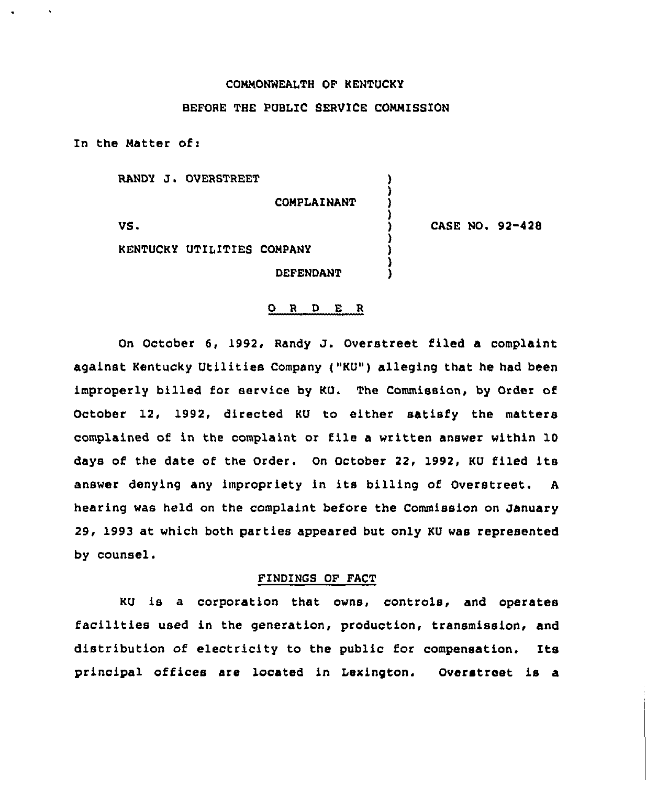### COMMONNEALTH OF KENTUCKY

# BEFORE THE PUBLIC SERVICE COMMISSION

In the Matter of:

RANDY J. OVERSTREET

COMPLAINANT

) ) ) )

) )

)

VS <sup>~</sup>

CASE NO. 92-428

KENTUCKY UTILITIES COMPANY

**DEFENDANT** 

#### ORDER

On October 6, 1992, Randy J. Overstreet filed <sup>a</sup> complaint against Kentucky Utilities Company ("KU") alleging that he had been improperly billed for service by KU. The Commission, by Order of October 12, 1992, directed KU to either satisfy the matters complained of in the complaint or file a written answer within 10 days of the date of the Order. On October 22, 1992, KU filed its answer denying any impropriety in its billing of Overstreet. <sup>A</sup> hearing was held on the complaint before the Commission on January 29, 1993 at which both parties appeared but only KU was represented by counsel.

## FINDINGS OF FACT

KU is a corporation that owns, controls, and operates facilities used in the generation, production, transmission, and distribution of electricity to the public for compensation. Its principal offices are located in Lexington. Overstreet is a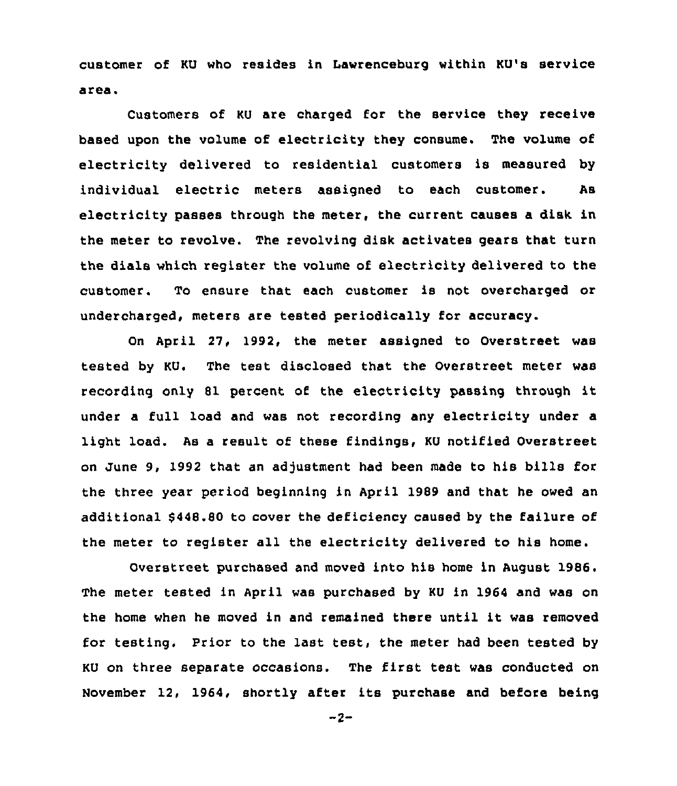customer of KU who resides in Lawrenceburg within KU's service area.

Customers of KU are charged for the service they receive based upon the volume of electricity they consume. The volume of electricity delivered to residential customers is measured by individual electric meters assigned to each customer. As electricity passes through the meter, the current causes a disk in the meter to revolve. The revolving disk activates gears that turn the dials which register the volume of electricity delivered to the customer. To ensure that each customer is not overcharged or undercharged, meters are tested periodically for accuracy.

On April 27, 1992, the meter assigned to Overstreet was tested by KU. The test disclosed that the Overstreet meter was recording only <sup>81</sup> percent of the electricity passing through it under a full load and was not recording any electricity under a light load. As a result of these findings, KU notified Overstreet on June 9, 1992 that an adjustment had been made to his bills for the three year period beginning in April 1989 and that he owed an additional \$448.80 to cover the deficiency caused by the failure of the meter to register all the electricity delivered to his home.

Overstreet purchased and moved into his home in August 1986. The meter tested in April was purchased by KU in 1964 and was on the home when he moved in and remained there until it was removed for testing. Prior to the last test, the meter had been tested by KU on three separate occasions. The first test was conducted on November 12, 1964, shortly after its purchase and before being

 $-2-$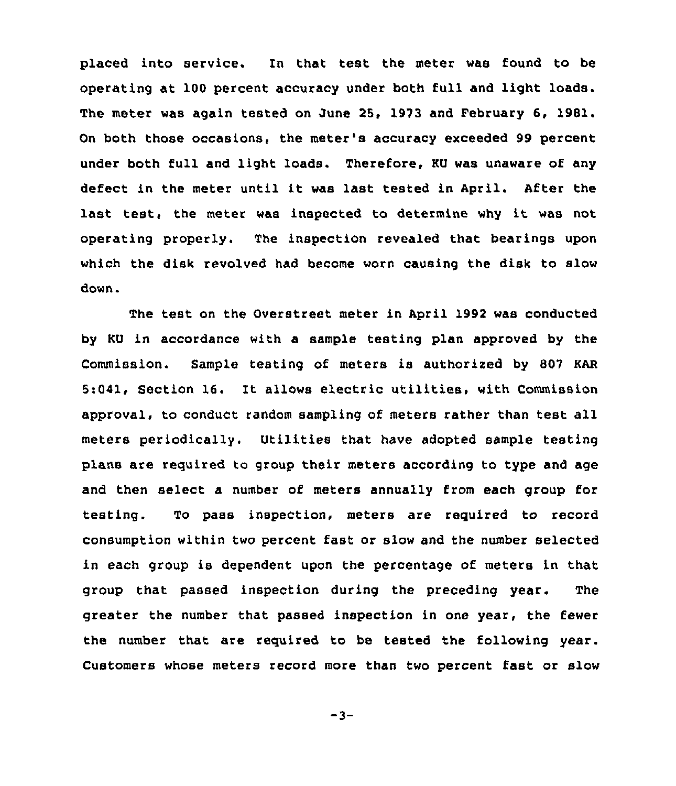placed into service. In that test the meter was found to be operating at 100 percent accuracy under both full and light loads. The meter was again tested on June 25, 1973 and February 6, 1981. On both those occasions, the meter's accuracy exceeded 99 percent under both full and light loads. Therefore, KU was unaware of any defect in the meter until it was last tested in April. After the last test, the meter was inspected to determine why it was not operating properly. The inspection revealed that bearings upon which the disk revolved had become worn causing the disk to slow down.

The test on the Overstreet meter in April 1992 was conducted by KU in accordance with a sample testing plan approved by the Commission. Sample testing of meters is authorised by 807 KAR 5:041, Section 16. It allows electric utilities, with Commission approval, to conduct random sampling of meters rather than test all meters periodically. Utilities that have adopted sample testing plans are required to group their meters according to type and age and then select a number of meters annually from each group for testing. To pass inspection, meters are required to record consumption within twc percent fast or slow and the number selected in each group is dependent upon the percentage of meters in that group that passed inspection during the preceding year. The greater the number that passed inspection in one year, the fewer the number that are required to be tested the following year. Customers whose meters record more than two percent fast or slow

 $-3-$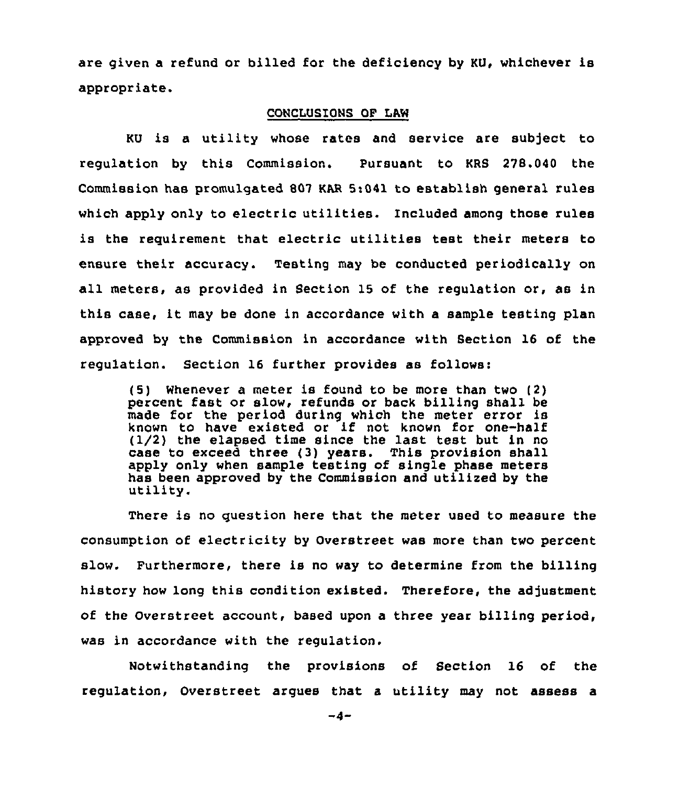are given a refund or billed for the deficiency by KU, whichever is appropriate.

#### CONCLUSIONS OF LAW

KU is a utility whose rates and service are subject to regulation by this Commission. Pursuant to KRS 278.040 the Commission has promulgated 807 KAR 5:041 to establish general rules which apply only to electric utilities. Included among those rules is the requirement that electric utilities test their meters to ensure their accuracy. Testing may be conducted periodically on all meters, as provided in Section 15 of the regulation or, as in this case, it may be done in accordance with <sup>a</sup> sample testing plan approved by the Commission in accordance with Section 16 of the regulation. Section 16 further provides as follows:

(5) Whenever a meter is found to be more than two (2) percent fast or slow, refunds or back billing shall be made for the period during which the meter error is known to have existed or if not known for one-half (I/2) the elapsed time since the last test but in no case to exceed three (3) years. This provision shall apply only when sample testing of single phase meters has been approved by the Commission and utilixed by the utility.

There is no question here that the meter used to measure the consumption of electricity by Overstreet was more than two percent slow. Furthermore, there is no way to determine from the billing history how long this condition existed. Therefore, the adjustment of the Overstreet account, based upon a three year billing period, was in accordance with the regulation.

Notwithstanding the provisions of Section 16 of the regulation, Overstreet argues that <sup>a</sup> utility may not assess a

 $-d-$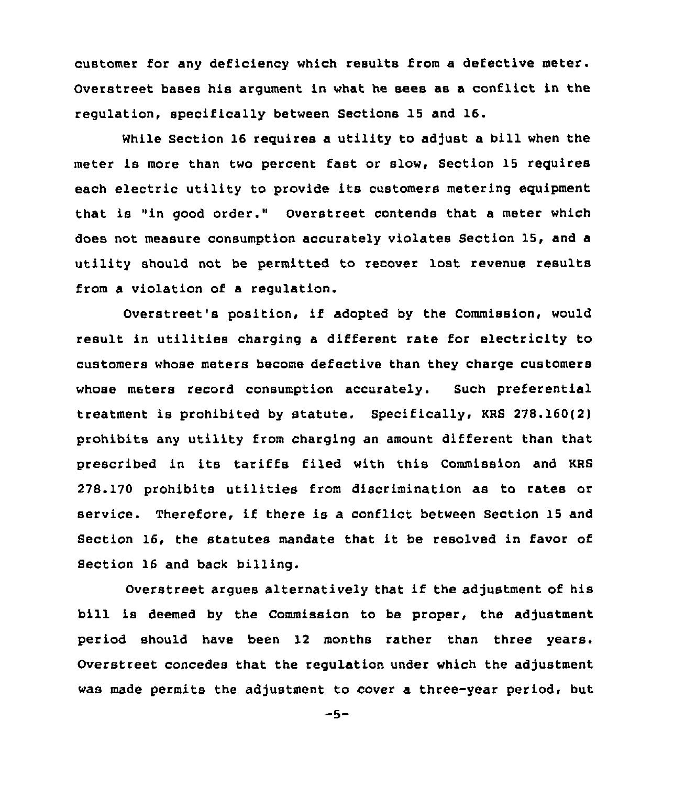customer for any deficiency which results from a defective meter. Overstreet bases his argument in what he sees as a conflict in the regulation, specifically between Sections 15 and 16.

While Section 16 requires a utility to adjust a bill when the meter is more than two percent fast or slow, Section 15 requires each electric utility to provide its customers metering equipment that is "in good order." Overstreet contends that a meter which does not measure consumption accurately violates Section 15, and a utility should not be permitted to recover lost revenue results from a violation of a regulation.

Overstreet's position, if adopted by the Commission, would result in utilities charging a different rate for electricity to customers whose meters become defective than they charge customers whose meters record consumption accurately. Such preferential treatment is prohibited by statute. Specifically, KRS 278.160(2) prohibits any utility from charging an amount different than that prescribed in its tariffs filed with this Commission and KRS 278.170 prohibits utilities from discrimination as to rates or service. Therefore, if there is a conflict between Section 15 and Section 16, the statutes mandate that it be resolved in favor of Section 16 and back billing.

Overstreet argues alternatively that if the adjustment of his bill is deemed by the Commission to be proper, the adjustment period should have been 12 months rather than three years. Overstreet concedes that the regulation under which the adjustment was made permits the adjustment to cover a three-year period, but

 $-5-$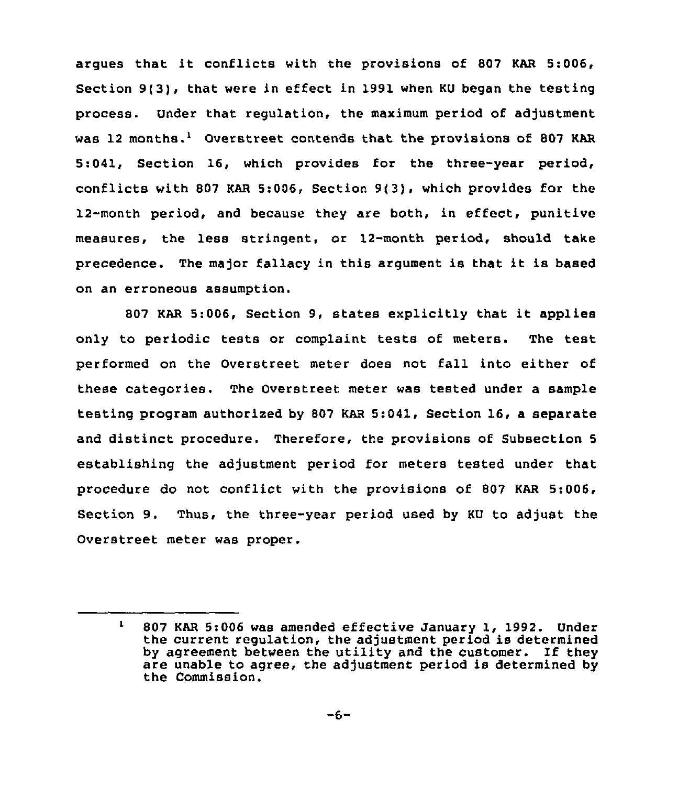argues that it conflicts with the provisions of <sup>807</sup> KAR 5:006, Section 9(3), that were in effect in 1991 when KU began the testing process. Under that regulation, the maximum period of adjustment was 12 months.<sup>1</sup> Overstreet contends that the provisions of 807 KAR 5:041, Section 16, which provides for the three-year period, conflicts with 807 KAR 5:006, Section 9(3), which provides for the 12-month period, and because they are both, in effect, punitive measures, the less stringent, or 12-month period, should take precedence. The major fallacy in this argument is that it is based on an erroneous assumption.

<sup>807</sup> KAR 5:006, Section 9, states explicitly that it applies only to periodic tests or complaint tests of meters. The test performed on the Overstreet meter does not fall into either of these categories. The Overstreet meter was tested under a sample testing program authorized by 807 KAR 5:041, Section 16, a separate and distinct procedure. Therefore, the provisions of Subsection <sup>5</sup> establishing the adjustment period for meters tested under that procedure do not conflict with the provisions of 807 KAR 5:006, Section 9. Thus, the three-year period used by KU to adjust the Overstreet meter was proper.

 $\mathbf{1}$ 807 KAR 5:006 was amended effective January 1, 1992. Under the current regulation, the adjustment period is determined by agreement between the utility and the customer. If they are unable to agree, the adjustment period is determined by the Commission.